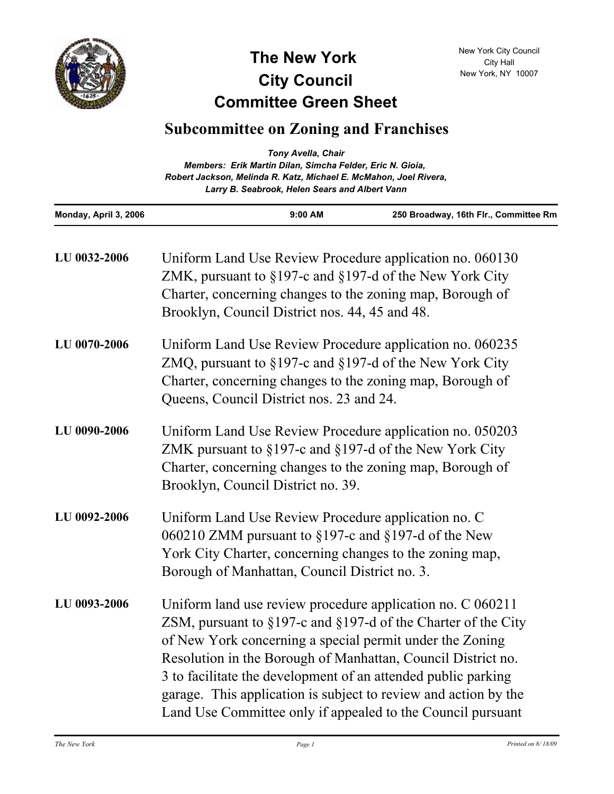

## **Committee Green Sheet The New York City Council**

|                       | <b>Tony Avella, Chair</b><br>Members: Erik Martin Dilan, Simcha Felder, Eric N. Gioia,<br>Robert Jackson, Melinda R. Katz, Michael E. McMahon, Joel Rivera,<br>Larry B. Seabrook, Helen Sears and Albert Vann                                                                                                                                                                                                                                                        |         |                                       |
|-----------------------|----------------------------------------------------------------------------------------------------------------------------------------------------------------------------------------------------------------------------------------------------------------------------------------------------------------------------------------------------------------------------------------------------------------------------------------------------------------------|---------|---------------------------------------|
| Monday, April 3, 2006 |                                                                                                                                                                                                                                                                                                                                                                                                                                                                      | 9:00 AM | 250 Broadway, 16th Flr., Committee Rm |
| LU 0032-2006          | Uniform Land Use Review Procedure application no. 060130<br>ZMK, pursuant to $\S 197$ -c and $\S 197$ -d of the New York City<br>Charter, concerning changes to the zoning map, Borough of<br>Brooklyn, Council District nos. 44, 45 and 48.                                                                                                                                                                                                                         |         |                                       |
| LU 0070-2006          | Uniform Land Use Review Procedure application no. 060235<br>ZMQ, pursuant to $\S 197$ -c and $\S 197$ -d of the New York City<br>Charter, concerning changes to the zoning map, Borough of<br>Queens, Council District nos. 23 and 24.                                                                                                                                                                                                                               |         |                                       |
| LU 0090-2006          | Uniform Land Use Review Procedure application no. 050203<br>ZMK pursuant to $\S 197$ -c and $\S 197$ -d of the New York City<br>Charter, concerning changes to the zoning map, Borough of<br>Brooklyn, Council District no. 39.                                                                                                                                                                                                                                      |         |                                       |
| LU 0092-2006          | Uniform Land Use Review Procedure application no. C<br>060210 ZMM pursuant to $\S197$ -c and $\S197$ -d of the New<br>York City Charter, concerning changes to the zoning map,<br>Borough of Manhattan, Council District no. 3.                                                                                                                                                                                                                                      |         |                                       |
| LU 0093-2006          | Uniform land use review procedure application no. C 060211<br>ZSM, pursuant to $\S 197$ -c and $\S 197$ -d of the Charter of the City<br>of New York concerning a special permit under the Zoning<br>Resolution in the Borough of Manhattan, Council District no.<br>3 to facilitate the development of an attended public parking<br>garage. This application is subject to review and action by the<br>Land Use Committee only if appealed to the Council pursuant |         |                                       |

New York City Council City Hall New York, NY 10007